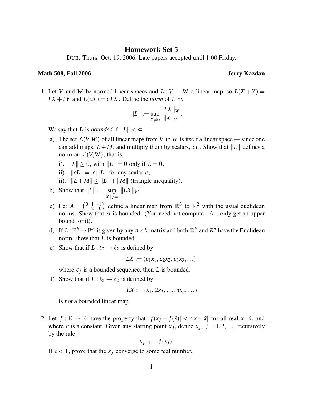## **Homework Set 5**

DUE: Thurs. Oct. 19, 2006. Late papers accepted until 1:00 Friday.

## **Math 508, Fall 2006 Jerry Kazdan**

1. Let *V* and *W* be normed linear spaces and  $L: V \to W$  a linear map, so  $L(X + Y) =$  $LX + LY$  and  $L(cX) = cLX$ . Define the *norm* of *L* by

$$
||L|| := \sup_{X \neq 0} \frac{||LX||_W}{||X||_V}.
$$

We say that *L* is *bounded* if  $||L|| < \infty$ 

- a) The set  $L(V, W)$  of all linear maps from V to W is itself a linear space since one can add maps,  $L + M$ , and multiply them by scalars, *cL*. Show that  $||L||$  defines a norm on  $\mathcal{L}(V, W)$ , that is,
	- i).  $||L|| > 0$ , with  $||L|| = 0$  only if  $L = 0$ ,
	- ii).  $||cL|| = |c| ||L||$  for any scalar *c*,
	- ii).  $||L+M|| \leq ||L|| + ||M||$  (triangle inequality).
- b) Show that  $||L|| = \sup ||LX||_W$ .  $||X||_V=1$
- c) Let  $A = \begin{pmatrix} 0 & 1 & -1 \\ 1 & 2 & 0 \end{pmatrix}$  $\begin{pmatrix} 0 & 1 & -1 \\ 1 & 2 & 0 \end{pmatrix}$  define a linear map from  $\mathbb{R}^3$  to  $\mathbb{R}^2$  with the usual euclidean norms. Show that *A* is bounded. (You need not compute  $||A||$ , only get an upper bound for it).
- d) If  $L: \mathbb{R}^k \to \mathbb{R}^n$  is given by any  $n \times k$  matrix and both  $\mathbb{R}^k$  and  $R^n$  have the Euclidean norm, show that *L* is bounded.
- e) Show that if  $L: \ell_2 \rightarrow \ell_2$  is defined by

$$
LX := (c_1x_1, c_2x_2, c_3x_3,...),
$$

where  $c_j$  is a bounded sequence, then  $L$  is bounded.

f) Show that if  $L: \ell_2 \to \ell_2$  is defined by

$$
LX:=(x_1, 2x_2, \ldots, nx_n, \ldots)
$$

is *not* a bounded linear map.

2. Let  $f : \mathbb{R} \to \mathbb{R}$  have the property that  $|f(x) - f(\hat{x})| < c|x - \hat{x}|$  for all real *x*,  $\hat{x}$ , and where *c* is a constant. Given any starting point  $x_0$ , define  $x_j$ ,  $j = 1, 2, \dots$ , recursively by the rule

$$
x_{j+1} = f(x_j).
$$

If  $c < 1$ , prove that the  $x_i$  converge to some real number.